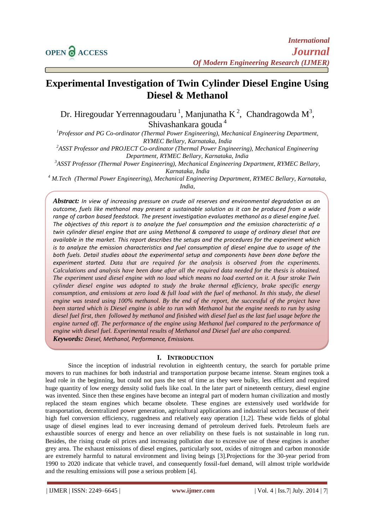# **Experimental Investigation of Twin Cylinder Diesel Engine Using Diesel & Methanol**

Dr. Hiregoudar Yerrennagoudaru<sup>1</sup>, Manjunatha K<sup>2</sup>, Chandragowda M<sup>3</sup>, Shivashankara gouda <sup>4</sup>

*<sup>1</sup>Professor and PG Co-ordinator (Thermal Power Engineering), Mechanical Engineering Department, RYMEC Bellary, Karnataka, India*

*<sup>2</sup>ASST Professor and PROJECT Co-ordinator (Thermal Power Engineering), Mechanical Engineering Department, RYMEC Bellary, Karnataka, India*

*<sup>3</sup>ASST Professor (Thermal Power Engineering), Mechanical Engineering Department, RYMEC Bellary,* 

*Karnataka, India*

*<sup>4</sup> M.Tech (Thermal Power Engineering), Mechanical Engineering Department, RYMEC Bellary, Karnataka, India,*

*Abstract: In view of increasing pressure on crude oil reserves and environmental degradation as an outcome, fuels like methanol may present a sustainable solution as it can be produced from a wide range of carbon based feedstock. The present investigation evaluates methanol as a diesel engine fuel. The objectives of this report is to analyze the fuel consumption and the emission characteristic of a twin cylinder diesel engine that are using Methanol & compared to usage of ordinary diesel that are available in the market. This report describes the setups and the procedures for the experiment which is to analyze the emission characteristics and fuel consumption of diesel engine due to usage of the both fuels. Detail studies about the experimental setup and components have been done before the experiment started. Data that are required for the analysis is observed from the experiments. Calculations and analysis have been done after all the required data needed for the thesis is obtained. The experiment used diesel engine with no load which means no load exerted on it. A four stroke Twin cylinder diesel engine was adopted to study the brake thermal efficiency, brake specific energy consumption, and emissions at zero load & full load with the fuel of methanol. In this study, the diesel engine was tested using 100% methanol. By the end of the report, the successful of the project have been started which is Diesel engine is able to run with Methanol but the engine needs to run by using diesel fuel first, then followed by methanol and finished with diesel fuel as the last fuel usage before the engine turned off. The performance of the engine using Methanol fuel compared to the performance of engine with diesel fuel. Experimental results of Methanol and Diesel fuel are also compared. Keywords: Diesel, Methanol, Performance, Emissions.*

# **I. INTRODUCTION**

Since the inception of industrial revolution in eighteenth century, the search for portable prime movers to run machines for both industrial and transportation purpose became intense. Steam engines took a lead role in the beginning, but could not pass the test of time as they were bulky, less efficient and required huge quantity of low energy density solid fuels like coal. In the later part of nineteenth century, diesel engine was invented. Since then these engines have become an integral part of modern human civilization and mostly replaced the steam engines which became obsolete. These engines are extensively used worldwide for transportation, decentralized power generation, agricultural applications and industrial sectors because of their high fuel conversion efficiency, ruggedness and relatively easy operation [1,2]. These wide fields of global usage of diesel engines lead to ever increasing demand of petroleum derived fuels. Petroleum fuels are exhaustible sources of energy and hence an over reliability on these fuels is not sustainable in long run. Besides, the rising crude oil prices and increasing pollution due to excessive use of these engines is another grey area. The exhaust emissions of diesel engines, particularly soot, oxides of nitrogen and carbon monoxide are extremely harmful to natural environment and living beings [3].Projections for the 30-year period from 1990 to 2020 indicate that vehicle travel, and consequently fossil-fuel demand, will almost triple worldwide and the resulting emissions will pose a serious problem [4].

| IJMER | ISSN: 2249–6645 | **www.ijmer.com** | Vol. 4 | Iss.7| July. 2014 | 7|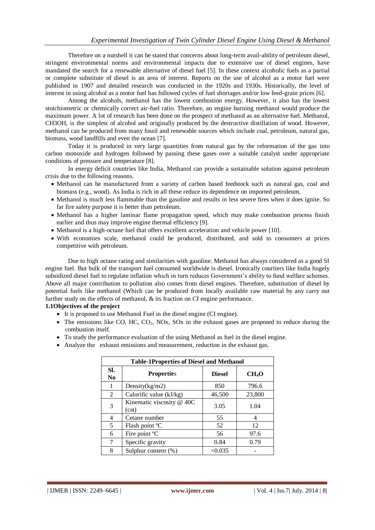Therefore on a nutshell it can be stated that concerns about long-term avail-ability of petroleum diesel, stringent environmental norms and environmental impacts due to extensive use of diesel engines, have mandated the search for a renewable alternative of diesel fuel [5]. In these context alcoholic fuels as a partial or complete substitute of diesel is an area of interest. Reports on the use of alcohol as a motor fuel were published in 1907 and detailed research was conducted in the 1920s and 1930s. Historically, the level of interest in using alcohol as a motor fuel has followed cycles of fuel shortages and/or low feed-grain prices [6].

Among the alcohols, methanol has the lowest combustion energy. However, it also has the lowest stoichiometric or chemically correct air-fuel ratio. Therefore, an engine burning methanol would produce the maximum power. A lot of research has been done on the prospect of methanol as an alternative fuel. Methanol, CH3OH, is the simplest of alcohol and originally produced by the destructive distillation of wood. However, methanol can be produced from many fossil and renewable sources which include coal, petroleum, natural gas, biomass, wood landfills and even the ocean [7].

Today it is produced in very large quantities from natural gas by the reformation of the gas into carbon monoxide and hydrogen followed by passing these gases over a suitable catalyst under appropriate conditions of pressure and temperature [8].

In energy deficit countries like India, Methanol can provide a sustainable solution against petroleum crisis due to the following reasons.

- Methanol can be manufactured from a variety of carbon based feedstock such as natural gas, coal and biomass (e.g., wood). As India is rich in all these reduce its dependence on imported petroleum.
- Methanol is much less flammable than the gasoline and results in less severe fires when it does ignite. So far fire safety purpose it is better than petroleum.
- Methanol has a higher laminar flame propagation speed, which may make combustion process finish earlier and thus may improve engine thermal efficiency [9].
- Methanol is a high-octane fuel that offers excellent acceleration and vehicle power [10].
- With economies scale, methanol could be produced, distributed, and sold to consumers at prices competitive with petroleum.

Due to high octane rating and similarities with gasoline. Methanol has always considered as a good SI engine fuel. But bulk of the transport fuel consumed worldwide is diesel. Ironically courtiers like India hugely subsidized diesel fuel to regulate inflation which in turn reduces Government's ability to fund welfare schemes. Above all major contribution to pollution also comes from diesel engines. Therefore, substitution of diesel by potential fuels like methanol (Which can be produced from locally available raw material by any carry out further study on the effects of methanol, & its fraction on CI engine performance.

# **1.1Objectives of the project**

- It is proposed to use Methanol Fuel in the diesel engine (CI engine).
- $\bullet$  The emissions like CO, HC, CO<sub>2</sub>, NOx, SOx in the exhaust gases are proposed to reduce during the combustion itself.
- To study the performance evaluation of the using Methanol as fuel in the diesel engine.
- Analyze the exhaust emissions and measurement, reduction in the exhaust gas.

| <b>Table-1Properties of Diesel and Methanol</b> |                                    |               |                   |  |  |  |
|-------------------------------------------------|------------------------------------|---------------|-------------------|--|--|--|
| SI.<br>No                                       | <b>Properties</b>                  | <b>Diesel</b> | CH <sub>4</sub> O |  |  |  |
| 1                                               | Density $(kg/m2)$                  | 850           | 796.6             |  |  |  |
| 2                                               | Calorific value (kJ/kg)            | 46,500        | 23,800            |  |  |  |
| 3                                               | Kinematic viscosity @ 40C<br>(cst) | 3.05          | 1.04              |  |  |  |
| 4                                               | Cetane number                      | 55            | 4                 |  |  |  |
| 5                                               | Flash point °C                     | 52            | 12                |  |  |  |
| 6                                               | Fire point °C                      | 56            | 97.6              |  |  |  |
| 7                                               | Specific gravity                   | 0.84          | 0.79              |  |  |  |
| 8                                               | Sulphur content (%)                | < 0.035       |                   |  |  |  |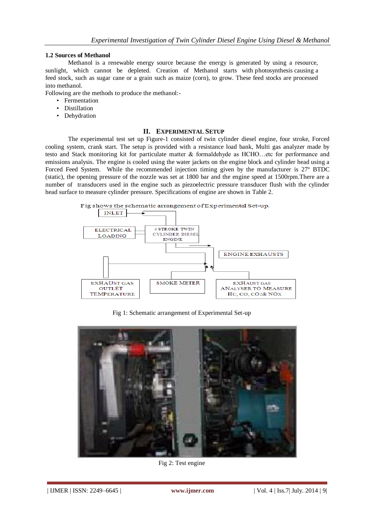# **1.2 Sources of Methanol**

Methanol is a renewable energy source because the energy is generated by using a resource, sunlight, which cannot be depleted. Creation of Methanol starts with photosynthesis causing a feed stock, such as sugar cane or a grain such as maize (corn), to grow. These feed stocks are processed into methanol.

Following are the methods to produce the methanol:-

- Fermentation
- Distillation
- Dehydration

#### **II. EXPERIMENTAL SETUP**

The experimental test set up Figure-1 consisted of twin cylinder diesel engine, four stroke, Forced cooling system, crank start. The setup is provided with a resistance load bank, Multi gas analyzer made by testo and Stack monitoring kit for particulate matter & formaldehyde as HCHO…etc for performance and emissions analysis. The engine is cooled using the water jackets on the engine block and cylinder head using a Forced Feed System. While the recommended injection timing given by the manufacturer is 27º BTDC (static), the opening pressure of the nozzle was set at 1800 bar and the engine speed at 1500rpm.There are a number of transducers used in the engine such as piezoelectric pressure transducer flush with the cylinder head surface to measure cylinder pressure. Specifications of engine are shown in Table 2.



Fig 1: Schematic arrangement of Experimental Set-up



Fig 2: Test engine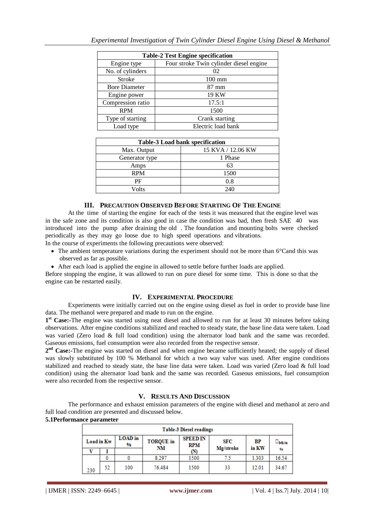| <b>Table-2 Test Engine specification</b> |                                         |  |  |  |  |
|------------------------------------------|-----------------------------------------|--|--|--|--|
| Engine type                              | Four stroke Twin cylinder diesel engine |  |  |  |  |
| No. of cylinders                         | 02                                      |  |  |  |  |
| <b>Stroke</b>                            | $100 \text{ mm}$                        |  |  |  |  |
| <b>Bore Diameter</b>                     | $87 \text{ mm}$                         |  |  |  |  |
| Engine power                             | 19 KW                                   |  |  |  |  |
| Compression ratio                        | 17.5:1                                  |  |  |  |  |
| <b>RPM</b>                               | 1500                                    |  |  |  |  |
| Type of starting                         | Crank starting                          |  |  |  |  |
| Load type                                | Electric load bank                      |  |  |  |  |

| Table-3 Load bank specification |                   |  |  |  |  |
|---------------------------------|-------------------|--|--|--|--|
| Max. Output                     | 15 KVA / 12.06 KW |  |  |  |  |
| Generator type                  | 1 Phase           |  |  |  |  |
| Amps                            | 63                |  |  |  |  |
| <b>RPM</b>                      | 1500              |  |  |  |  |
| РF                              | 0.8               |  |  |  |  |
| ∕olts                           | 240               |  |  |  |  |

# **III. PRECAUTION OBSERVED BEFORE STARTING OF THE ENGINE**

At the time of starting the engine for each of the tests it was measured that the engine level was in the safe zone and its condition is also good in case the condition was bad, then fresh SAE 40 was introduced into the pump after draining the old . The foundation and mounting bolts were checked periodically as they may go loose due to high speed operations and vibrations.

- In the course of experiments the following precautions were observed:
	- The ambient temperature variations during the experiment should not be more than 6<sup>°</sup>Cand this was observed as far as possible.
	- After each load is applied the engine in allowed to settle before further loads are applied.

Before stopping the engine, it was allowed to run on pure diesel for some time. This is done so that the engine can be restarted easily.

#### **IV. EXPERIMENTAL PROCEDURE**

Experiments were initially carried out on the engine using diesel as fuel in order to provide base line data. The methanol were prepared and made to run on the engine.

1<sup>st</sup> Case:-The engine was started using neat diesel and allowed to run for at least 30 minutes before taking observations. After engine conditions stabilized and reached to steady state, the base line data were taken. Load was varied (Zero load & full load condition) using the alternator load bank and the same was recorded. Gaseous emissions, fuel consumption were also recorded from the respective sensor.

2<sup>nd</sup> **Case:**-The engine was started on diesel and when engine became sufficiently heated; the supply of diesel was slowly substituted by 100 % Methanol for which a two way valve was used. After engine conditions stabilized and reached to steady state, the base line data were taken. Load was varied (Zero load & full load condition) using the alternator load bank and the same was recorded. Gaseous emissions, fuel consumption were also recorded from the respective sensor.

#### **V. RESULTS AND DISCUSSION**

The performance and exhaust emission parameters of the engine with diesel and methanol at zero and full load condition are presented and discussed below.

#### **5.1Performance parameter**

| <b>Table-3 Diesel readings</b> |    |                     |                        |                               |                  |             |               |
|--------------------------------|----|---------------------|------------------------|-------------------------------|------------------|-------------|---------------|
| Load in Kw                     |    | <b>LOAD</b> in<br>% | <b>TORQUE</b> in<br>NM | <b>SPEED IN</b><br><b>RPM</b> | SFC<br>Mg/stroke | BP<br>in KW | $\Box$ bth in |
|                                |    |                     |                        | M)                            |                  |             | 96            |
|                                | 0  |                     | 8.297                  | 1500                          | 7.5              | 1.303       | 16.54         |
| 230                            | 52 | 100                 | 76.484                 | 1500                          | 33               | 12.01       | 34.67         |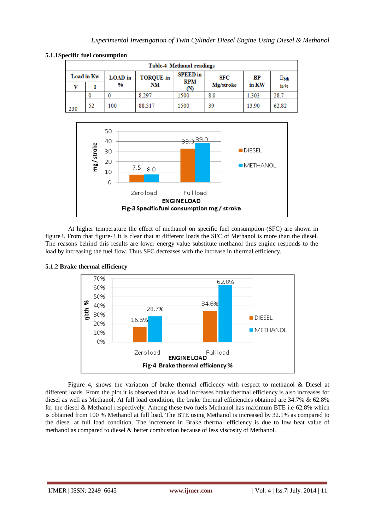| Table-4 Methanol readings |    |                |                  |                               |           |       |                        |  |
|---------------------------|----|----------------|------------------|-------------------------------|-----------|-------|------------------------|--|
| Load in Kw                |    | <b>LOAD</b> in | <b>TORQUE</b> in | <b>SPEED</b> in<br><b>RPM</b> | SFC       | BP    | $\square_{\text{bth}}$ |  |
| ٦T                        |    | %              | NM               | (N)                           | Mg/stroke | in KW | in %                   |  |
|                           |    |                | 8.297            | 1500                          | 8.0       | 1.303 | 28.7                   |  |
| 230                       | 52 | 100            | 88.517           | 1500                          | 39        | 13.90 | 62.82                  |  |





At higher temperature the effect of methanol on specific fuel consumption (SFC) are shown in figure3. From that figure-3 it is clear that at different loads the SFC of Methanol is more than the diesel. The reasons behind this results are lower energy value substitute methanol thus engine responds to the load by increasing the fuel flow. Thus SFC decreases with the increase in thermal efficiency.



# **5.1.2 Brake thermal efficiency**

Figure 4, shows the variation of brake thermal efficiency with respect to methanol & Diesel at different loads. From the plot it is observed that as load increases brake thermal efficiency is also increases for diesel as well as Methanol. At full load condition, the brake thermal efficiencies obtained are 34.7% & 62.8% for the diesel & Methanol respectively. Among these two fuels Methanol has maximum BTE i.e 62.8% which is obtained from 100 % Methanol at full load. The BTE using Methanol is increased by 32.1% as compared to the diesel at full load condition. The increment in Brake thermal efficiency is due to low heat value of methanol as compared to diesel & better combustion because of less viscosity of Methanol.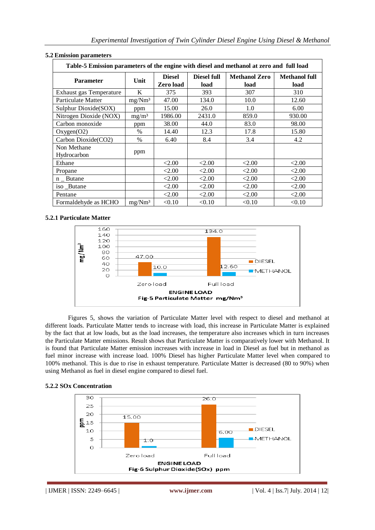| <b>EMBOION parameter</b> s<br>Table-5 Emission parameters of the engine with diesel and methanol at zero and full load |                    |                            |                     |                              |                              |  |  |
|------------------------------------------------------------------------------------------------------------------------|--------------------|----------------------------|---------------------|------------------------------|------------------------------|--|--|
| <b>Parameter</b>                                                                                                       | Unit               | <b>Diesel</b><br>Zero load | Diesel full<br>load | <b>Methanol Zero</b><br>load | <b>Methanol full</b><br>load |  |  |
| <b>Exhaust gas Temperature</b>                                                                                         | K                  | 375                        | 393                 | 307                          | 310                          |  |  |
| Particulate Matter                                                                                                     | mg/Nm <sup>3</sup> | 47.00                      | 134.0               | 10.0                         | 12.60                        |  |  |
| Sulphur Dioxide(SOX)                                                                                                   | ppm                | 15.00                      | 26.0                | 1.0                          | 6.00                         |  |  |
| Nitrogen Dioxide (NOX)                                                                                                 | mg/m <sup>3</sup>  | 1986.00                    | 2431.0              | 859.0                        | 930.00                       |  |  |
| Carbon monoxide                                                                                                        | ppm                | 38.00                      | 44.0                | 83.0                         | 98.00                        |  |  |
| Oxygen(O2)                                                                                                             | $\%$               | 14.40                      | 12.3                | 17.8                         | 15.80                        |  |  |
| Carbon Dioxide(CO2)                                                                                                    | $\%$               | 6.40                       | 8.4                 | 3.4                          | 4.2                          |  |  |
| Non Methane<br>Hydrocarbon                                                                                             | ppm                |                            |                     |                              |                              |  |  |
| Ethane                                                                                                                 |                    | < 2.00                     | < 2.00              | < 2.00                       | < 2.00                       |  |  |
| Propane                                                                                                                |                    | < 2.00                     | < 2.00              | < 2.00                       | < 2.00                       |  |  |
| $n$ _ Butane                                                                                                           |                    | < 2.00                     | < 2.00              | < 2.00                       | < 2.00                       |  |  |
| iso_Butane                                                                                                             |                    | < 2.00                     | < 2.00              | < 2.00                       | < 2.00                       |  |  |
| Pentane                                                                                                                |                    | < 2.00                     | < 2.00              | < 2.00                       | < 2.00                       |  |  |
| Formaldehyde as HCHO                                                                                                   | mg/Nm <sup>3</sup> | < 0.10                     | < 0.10              | < 0.10                       | < 0.10                       |  |  |

# **5.2 Emission parameters**

# **5.2.1 Particulate Matter**



Figures 5, shows the variation of Particulate Matter level with respect to diesel and methanol at different loads. Particulate Matter tends to increase with load, this increase in Particulate Matter is explained by the fact that at low loads, but as the load increases, the temperature also increases which in turn increases the Particulate Matter emissions. Result shows that Particulate Matter is comparatively lower with Methanol. It is found that Particulate Matter emission increases with increase in load in Diesel as fuel but in methanol as fuel minor increase with increase load. 100% Diesel has higher Particulate Matter level when compared to 100% methanol. This is due to rise in exhaust temperature. Particulate Matter is decreased (80 to 90%) when using Methanol as fuel in diesel engine compared to diesel fuel.



#### **5.2.2 SOx Concentration**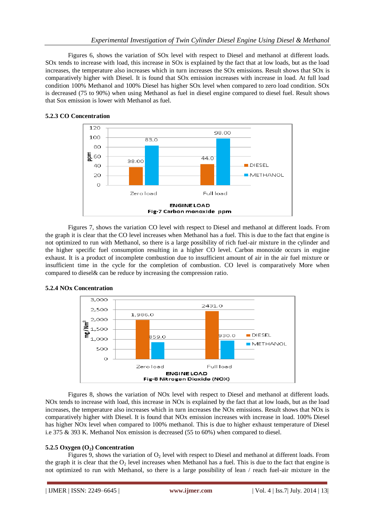Figures 6, shows the variation of SOx level with respect to Diesel and methanol at different loads. SOx tends to increase with load, this increase in SOx is explained by the fact that at low loads, but as the load increases, the temperature also increases which in turn increases the SOx emissions. Result shows that SOx is comparatively higher with Diesel. It is found that SOx emission increases with increase in load. At full load condition 100% Methanol and 100% Diesel has higher SOx level when compared to zero load condition. SOx is decreased (75 to 90%) when using Methanol as fuel in diesel engine compared to diesel fuel. Result shows that Sox emission is lower with Methanol as fuel.



# **5.2.3 CO Concentration**

Figures 7, shows the variation CO level with respect to Diesel and methanol at different loads. From the graph it is clear that the CO level increases when Methanol has a fuel. This is due to the fact that engine is not optimized to run with Methanol, so there is a large possibility of rich fuel-air mixture in the cylinder and the higher specific fuel consumption resulting in a higher CO level. Carbon monoxide occurs in engine exhaust. It is a product of incomplete combustion due to insufficient amount of air in the air fuel mixture or insufficient time in the cycle for the completion of combustion. CO level is comparatively More when compared to diesel& can be reduce by increasing the compression ratio.



# **5.2.4 NOx Concentration**

Figures 8, shows the variation of NOx level with respect to Diesel and methanol at different loads. NOx tends to increase with load, this increase in NOx is explained by the fact that at low loads, but as the load increases, the temperature also increases which in turn increases the NOx emissions. Result shows that NOx is comparatively higher with Diesel. It is found that NOx emission increases with increase in load. 100% Diesel has higher NOx level when compared to 100% methanol. This is due to higher exhaust temperature of Diesel i.e 375 & 393 K. Methanol Nox emission is decreased (55 to 60%) when compared to diesel.

# **5.2.5 Oxygen (O2) Concentration**

Figures 9, shows the variation of  $O<sub>2</sub>$  level with respect to Diesel and methanol at different loads. From the graph it is clear that the  $O<sub>2</sub>$  level increases when Methanol has a fuel. This is due to the fact that engine is not optimized to run with Methanol, so there is a large possibility of lean / reach fuel-air mixture in the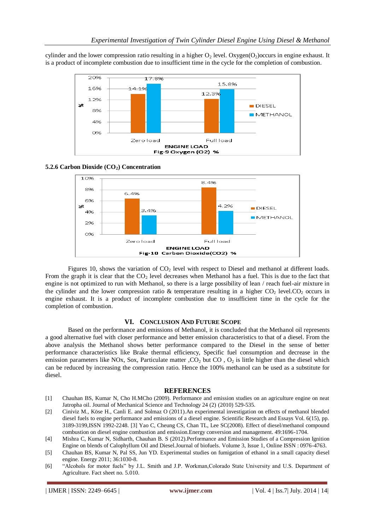cylinder and the lower compression ratio resulting in a higher  $O_2$  level. Oxygen( $O_2$ )occurs in engine exhaust. It is a product of incomplete combustion due to insufficient time in the cycle for the completion of combustion.



#### **5.2.6 Carbon Dioxide (CO2) Concentration**



Figures 10, shows the variation of CO<sub>2</sub> level with respect to Diesel and methanol at different loads. From the graph it is clear that the  $CO<sub>2</sub>$  level decreases when Methanol has a fuel. This is due to the fact that engine is not optimized to run with Methanol, so there is a large possibility of lean / reach fuel-air mixture in the cylinder and the lower compression ratio & temperature resulting in a higher  $CO<sub>2</sub>$  level.CO<sub>2</sub> occurs in engine exhaust. It is a product of incomplete combustion due to insufficient time in the cycle for the completion of combustion.

#### **VI. CONCLUSION AND FUTURE SCOPE**

Based on the performance and emissions of Methanol, it is concluded that the Methanol oil represents a good alternative fuel with closer performance and better emission characteristics to that of a diesel. From the above analysis the Methanol shows better performance compared to the Diesel in the sense of better performance characteristics like Brake thermal efficiency, Specific fuel consumption and decrease in the emission parameters like NOx, Sox, Particulate matter ,  $CO<sub>2</sub>$  but CO ,  $O<sub>2</sub>$  is little higher than the diesel which can be reduced by increasing the compression ratio. Hence the 100% methanol can be used as a substitute for diesel.

#### **REFERENCES**

- [1] Chauhan BS, Kumar N, Cho H.MCho (2009). Performance and emission studies on an agriculture engine on neat Jatropha oil. Journal of Mechanical Science and Technology 24 (2) (2010) 529-535.
- [2] Ciniviz M., Köse H., Canli E. and Solmaz O (2011).An experimental investigation on effects of methanol blended diesel fuels to engine performance and emissions of a diesel engine. Scientific Research and Essays Vol. 6(15), pp. 3189-3199,ISSN 1992-2248. [3] Yao C, Cheung CS, Chan TL, Lee SC(2008). Effect of diesel/methanol compound combustion on diesel engine combustion and emission.Energy conversion and management. 49:1696-1704.
- [4] Mishra C, Kumar N, Sidharth, Chauhan B. S (2012).Performance and Emission Studies of a Compression Ignition Engine on blends of Calophyllum Oil and Diesel.Journal of biofuels. Volume 3, Issue 1, Online ISSN : 0976-4763.
- [5] Chauhan BS, Kumar N, Pal SS, Jun YD. Experimental studies on fumigation of ethanol in a small capacity diesel engine. Energy 2011; 36:1030-8.
- [6] "Alcohols for motor fuels" by J.L. Smith and J.P. Workman,Colorado State University and U.S. Department of Agriculture. Fact sheet no. 5.010.